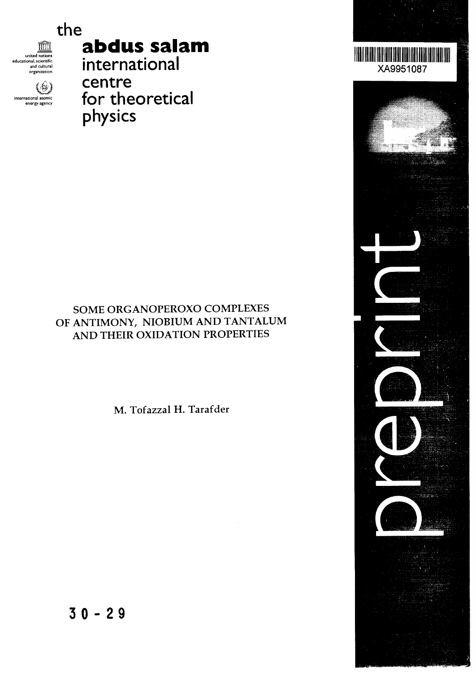

**abdus salam**

 $\widehat{\mathbb{R}}$ united nations educational, scientific and cultural organization

(⊕) international atomic controller internet van de la formation met $\overline{\phantom{a}}$ energy-agency

# international centre for theoretical physics

## SOME ORGANOPEROXO COMPLEXES OF ANTIMONY, NIOBIUM AND TANTALUM AND THEIR OXIDATION PROPERTIES

M. Tofazzal H. Tarafder





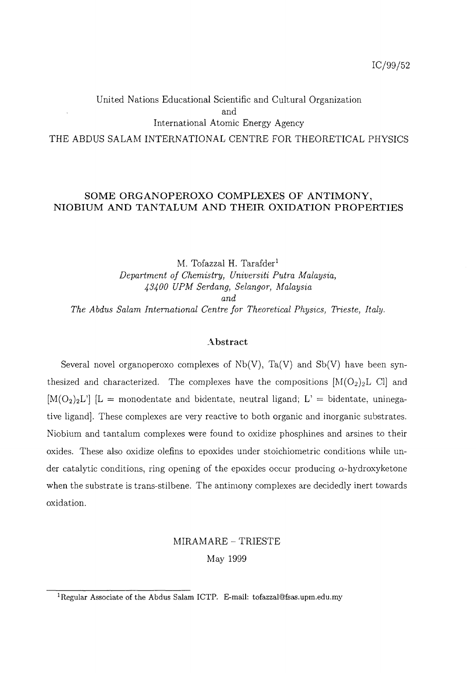### United Nations Educational Scientific and Cultural Organization and International Atomic Energy Agency THE ABDUS SALAM INTERNATIONAL CENTRE FOR THEORETICAL PHYSICS

#### **SOME ORGANOPEROXO COMPLEXES OF ANTIMONY, NIOBIUM AND TANTALUM AND THEIR OXIDATION PROPERTIES**

M. Tofazzal H. Tarafder<sup>1</sup> *Department of Chemistry, Universiti Putra Malaysia, 43400 UPM Serdang, Selangor, Malaysia and The Abdus Salam International Centre for Theoretical Physics, Trieste, Italy.*

#### **Abstract**

Several novel organoperoxo complexes of  $Nb(V)$ , Ta(V) and  $Sb(V)$  have been synthesized and characterized. The complexes have the compositions  $[M(O_2)_2L]$  Cl and  $[M(O_2)_2L']$   $[L =$  monodentate and bidentate, neutral ligand;  $L' =$  bidentate, uninegative ligand]. These complexes are very reactive to both organic and inorganic substrates. Niobium and tantalum complexes were found to oxidize phosphines and arsines to their oxides. These also oxidize olefins to epoxides under stoichiometric conditions while under catalytic conditions, ring opening of the epoxides occur producing  $\alpha$ -hydroxyketone when the substrate is trans-stilbene. The antimony complexes are decidedly inert towards oxidation.

## MIRAMARE - TRIESTE May 1999

<sup>&</sup>lt;sup>1</sup>Regular Associate of the Abdus Salam ICTP. E-mail: tofazzal@fsas.upm.edu.my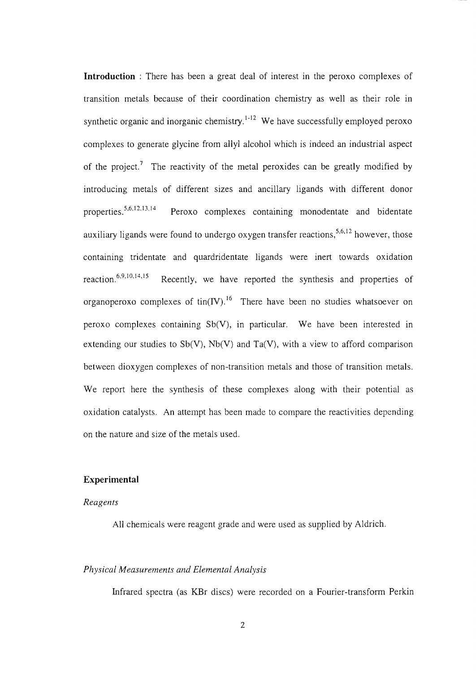**Introduction** : There has been a great deal of interest in the peroxo complexes of transition metals because of their coordination chemistry as well as their role in synthetic organic and inorganic chemistry.<sup>1-12</sup> We have successfully employed peroxo complexes to generate glycine from allyl alcohol which is indeed an industrial aspect of the project.<sup>7</sup> The reactivity of the metal peroxides can be greatly modified by introducing metals of different sizes and ancillary ligands with different donor properties.<sup>5,6,12,13,14</sup> Peroxo complexes containing monodentate and bidentate auxiliary ligands were found to undergo oxygen transfer reactions,  $5,6,12$  however, those containing tridentate and quardridentate ligands were inert towards oxidation reaction.<sup>6,9,10,14,15</sup> Recently, we have reported the synthesis and properties of organoperoxo complexes of  $\text{tin}(IV)$ .<sup>16</sup> There have been no studies whatsoever on peroxo complexes containing Sb(V), in particular. We have been interested in extending our studies to  $Sb(V)$ ,  $Nb(V)$  and  $Ta(V)$ , with a view to afford comparison between dioxygen complexes of non-transition metals and those of transition metals. We report here the synthesis of these complexes along with their potential as oxidation catalysts. An attempt has been made to compare the reactivities depending on the nature and size of the metals used.

#### **Experimental**

#### *Reagents*

All chemicals were reagent grade and were used as supplied by Aldrich.

#### *Physical Measurements and Elemental Analysis*

Infrared spectra (as KBr discs) were recorded on a Fourier-transform Perkin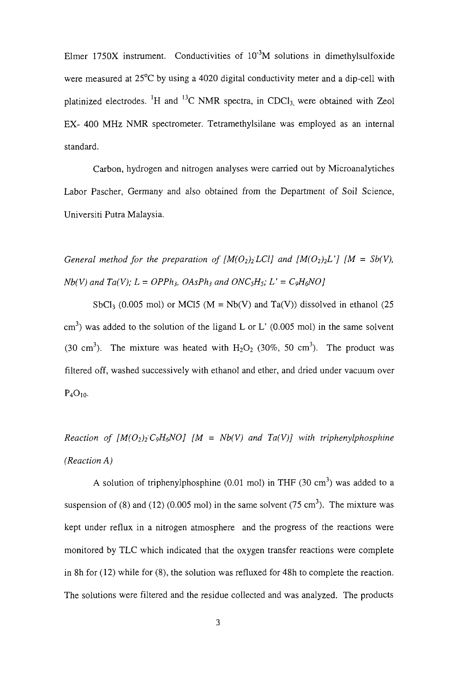Elmer 1750X instrument. Conductivities of  $10^{-3}M$  solutions in dimethylsulfoxide were measured at 25°C by using a 4020 digital conductivity meter and a dip-cell with platinized electrodes. <sup>1</sup>H and <sup>13</sup>C NMR spectra, in CDCl<sub>3,</sub> were obtained with Zeol EX- 400 MHz NMR spectrometer. Tetramethylsilane was employed as an internal standard.

Carbon, hydrogen and nitrogen analyses were carried out by Microanalytiches Labor Pascher, Germany and also obtained from the Department of Soil Science, Universiti Putra Malaysia.

*General method for the preparation of*  $[M(O_2)_2 LCl]$  *and*  $[M(O_2)_2 L']$  $[M = Sb(V)$ *,*  $Nb(V)$  and  $Ta(V)$ ;  $L = OPPh_3$ ,  $OAsPh_3$  and  $ONC_5H_5$ ;  $L' = C_9H_6NO$ 

SbCl<sub>3</sub> (0.005 mol) or MCl5 (M = Nb(V) and Ta(V)) dissolved in ethanol (25 cm<sup>3</sup>) was added to the solution of the ligand L or L' (0.005 mol) in the same solvent (30 cm<sup>3</sup>). The mixture was heated with  $H_2O_2$  (30%, 50 cm<sup>3</sup>). The product was filtered off, washed successively with ethanol and ether, and dried under vacuum over  $P_4O_{10}$ .

*Reaction of*  $[M(O_2)_2 C_9H_6NO]$  *[M = Nb(V) and Ta(V)] with triphenylphosphine (Reaction A)*

A solution of triphenylphosphine (0.01 mol) in THF (30 cm<sup>3</sup>) was added to a suspension of (8) and (12) (0.005 mol) in the same solvent (75 cm<sup>3</sup>). The mixture was kept under reflux in a nitrogen atmosphere and the progress of the reactions were monitored by TLC which indicated that the oxygen transfer reactions were complete in 8h for (12) while for (8), the solution was refluxed for 48h to complete the reaction. The solutions were filtered and the residue collected and was analyzed. The products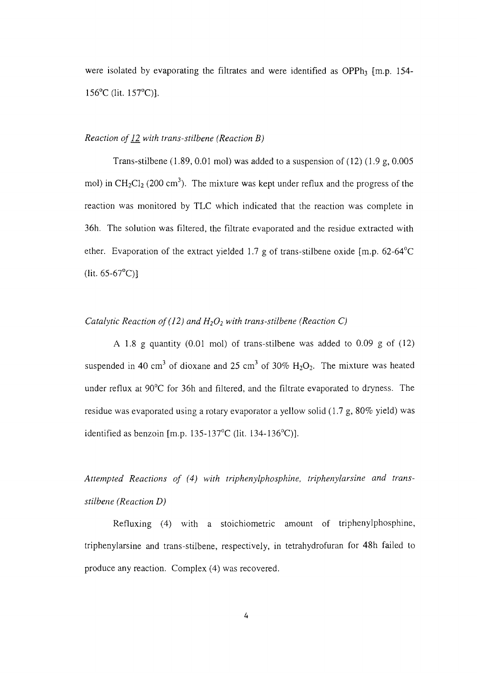were isolated by evaporating the filtrates and were identified as OPPh<sub>3</sub> [m.p. 154-156°C (lit. 157°C)].

#### *Reaction of 12. with trans-stilbene (Reaction B)*

Trans-stilbene  $(1.89, 0.01 \text{ mol})$  was added to a suspension of  $(12)$   $(1.9 \text{ g}, 0.005 \text{ m})$ mol) in CH<sub>2</sub>Cl<sub>2</sub> (200 cm<sup>3</sup>). The mixture was kept under reflux and the progress of the reaction was monitored by TLC which indicated that the reaction was complete in 36h. The solution was filtered, the filtrate evaporated and the residue extracted with ether. Evaporation of the extract yielded 1.7 g of trans-stilbene oxide [m.p. 62-64°C  $(lit. 65-67°C)$ 

#### *Catalytic Reaction of (12) and*  $H_2O_2$  *with trans-stilbene (Reaction C)*

A 1.8 g quantity (0.01 mol) of trans-stilbene was added to 0.09 g of (12) suspended in 40 cm<sup>3</sup> of dioxane and 25 cm<sup>3</sup> of 30%  $H_2O_2$ . The mixture was heated under reflux at 90°C for 36h and filtered, and the filtrate evaporated to dryness. The residue was evaporated using a rotary evaporator a yellow solid (1.7 g, 80% yield) was identified as benzoin [m.p. 135-137 $^{\circ}$ C (lit. 134-136 $^{\circ}$ C)].

*Attempted Reactions of (4) with triphenylphosphine, triphenylarsine and transstilbene (Reaction D)*

Refluxing (4) with a stoichiometric amount of triphenylphosphine, triphenylarsine and trans-stilbene, respectively, in tetrahydrofuran for 48h failed to produce any reaction. Complex (4) was recovered.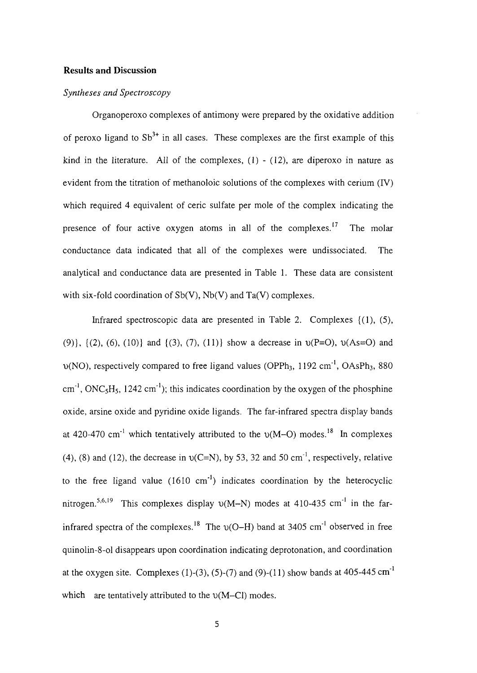#### **Results and Discussion**

#### *Syntheses and Spectroscopy*

Organoperoxo complexes of antimony were prepared by the oxidative addition of peroxo ligand to  $Sb^{3+}$  in all cases. These complexes are the first example of this kind in the literature. All of the complexes,  $(1)$  -  $(12)$ , are diperoxo in nature as evident from the titration of methanoloic solutions of the complexes with cerium (IV) which required 4 equivalent of eerie sulfate per mole of the complex indicating the presence of four active oxygen atoms in all of the complexes.<sup>17</sup> The molar conductance data indicated that all of the complexes were undissociated. The analytical and conductance data are presented in Table 1. These data are consistent with six-fold coordination of  $Sb(V)$ ,  $Nb(V)$  and  $Ta(V)$  complexes.

Infrared spectroscopic data are presented in Table 2. Complexes {(1), (5), (9),  $\{(2), (6), (10)\}$  and  $\{(3), (7), (11)\}$  show a decrease in  $\nu(P=O), \nu(As=O)$  and  $\nu(NO)$ , respectively compared to free ligand values (OPPh<sub>3</sub>, 1192 cm<sup>-1</sup>, OAsPh<sub>3</sub>, 880 cm<sup>-1</sup>, ONC<sub>5</sub>H<sub>5</sub>, 1242 cm<sup>-1</sup>); this indicates coordination by the oxygen of the phosphine oxide, arsine oxide and pyridine oxide ligands. The far-infrared spectra display bands at 420-470 cm<sup>-1</sup> which tentatively attributed to the  $v(M-O)$  modes.<sup>18</sup> In complexes (4), (8) and (12), the decrease in  $v(C=N)$ , by 53, 32 and 50 cm<sup>-1</sup>, respectively, relative to the free ligand value  $(1610 \text{ cm}^{-1})$  indicates coordination by the heterocyclic nitrogen.<sup>5,6,19</sup> This complexes display  $v(M-N)$  modes at 410-435 cm<sup>-1</sup> in the farinfrared spectra of the complexes.<sup>18</sup> The  $\nu$ (O–H) band at 3405 cm<sup>-1</sup> observed in free quinolin-8-ol disappears upon coordination indicating deprotonation, and coordination at the oxygen site. Complexes (1)-(3), (5)-(7) and (9)-(11) show bands at  $405-445 \text{ cm}^{-1}$ which are tentatively attributed to the  $\nu(M-CI)$  modes.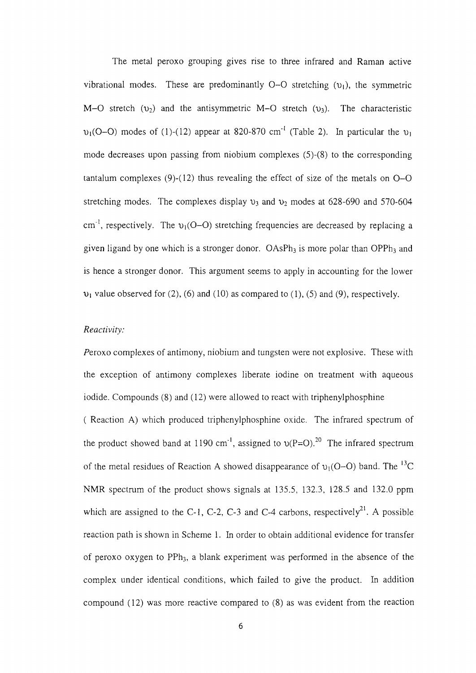The metal peroxo grouping gives rise to three infrared and Raman active vibrational modes. These are predominantly  $O-O$  stretching  $(v_1)$ , the symmetric M-O stretch ( $v_2$ ) and the antisymmetric M-O stretch ( $v_3$ ). The characteristic  $v_1$ (O-O) modes of (1)-(12) appear at 820-870 cm<sup>-1</sup> (Table 2). In particular the  $v_1$ mode decreases upon passing from niobium complexes (5)-(8) to the corresponding tantalum complexes  $(9)-(12)$  thus revealing the effect of size of the metals on  $O-O$ stretching modes. The complexes display  $v_3$  and  $v_2$  modes at 628-690 and 570-604 cm<sup>-1</sup>, respectively. The  $v_1(O-O)$  stretching frequencies are decreased by replacing a given ligand by one which is a stronger donor.  $OASPh_3$  is more polar than  $OPPh_3$  and is hence a stronger donor. This argument seems to apply in accounting for the lower  $\nu_1$  value observed for (2), (6) and (10) as compared to (1), (5) and (9), respectively.

#### *Reactivity:*

Peroxo complexes of antimony, niobium and tungsten were not explosive. These with the exception of antimony complexes liberate iodine on treatment with aqueous iodide. Compounds (8) and (12) were allowed to react with triphenylphosphine ( Reaction A) which produced triphenylphosphine oxide. The infrared spectrum of the product showed band at 1190 cm<sup>-1</sup>, assigned to  $v(P=O)$ .<sup>20</sup> The infrared spectrum of the metal residues of Reaction A showed disappearance of  $v_1(O-O)$  band. The <sup>13</sup>C

NMR spectrum of the product shows signals at 135.5, 132.3, 128.5 and 132.0 ppm which are assigned to the C-1, C-2, C-3 and C-4 carbons, respectively<sup>21</sup>. A possible reaction path is shown in Scheme 1. In order to obtain additional evidence for transfer of peroxo oxygen to PPh<sub>3</sub>, a blank experiment was performed in the absence of the complex under identical conditions, which failed to give the product. In addition compound (12) was more reactive compared to (8) as was evident from the reaction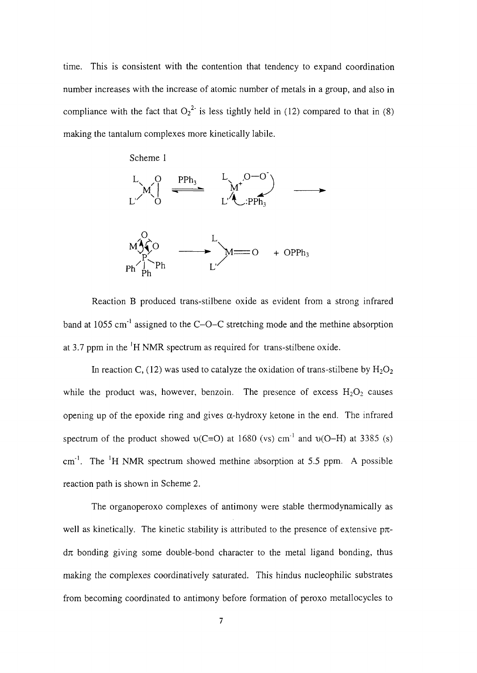time. This is consistent with the contention that tendency to expand coordination number increases with the increase of atomic number of metals in a group, and also in compliance with the fact that  $O_2^2$  is less tightly held in (12) compared to that in (8) making the tantalum complexes more kinetically labile.



Reaction B produced trans-stilbene oxide as evident from a strong infrared band at 1055 cm<sup>-1</sup> assigned to the C-O-C stretching mode and the methine absorption at 3.7 ppm in the  $\mathrm{^1H}$  NMR spectrum as required for trans-stilbene oxide.

In reaction C, (12) was used to catalyze the oxidation of trans-stilbene by  $H_2O_2$ while the product was, however, benzoin. The presence of excess  $H_2O_2$  causes opening up of the epoxide ring and gives  $\alpha$ -hydroxy ketone in the end. The infrared spectrum of the product showed  $v(C=O)$  at 1680 (vs) cm<sup>-1</sup> and  $v(O-H)$  at 3385 (s)  $cm<sup>-1</sup>$ . The <sup>1</sup>H NMR spectrum showed methine absorption at 5.5 ppm. A possible reaction path is shown in Scheme 2.

The organoperoxo complexes of antimony were stable thermodynamically as well as kinetically. The kinetic stability is attributed to the presence of extensive  $p\pi$  $d\pi$  bonding giving some double-bond character to the metal ligand bonding, thus making the complexes coordinatively saturated. This hindus nucleophilic substrates from becoming coordinated to antimony before formation of peroxo metallocycles to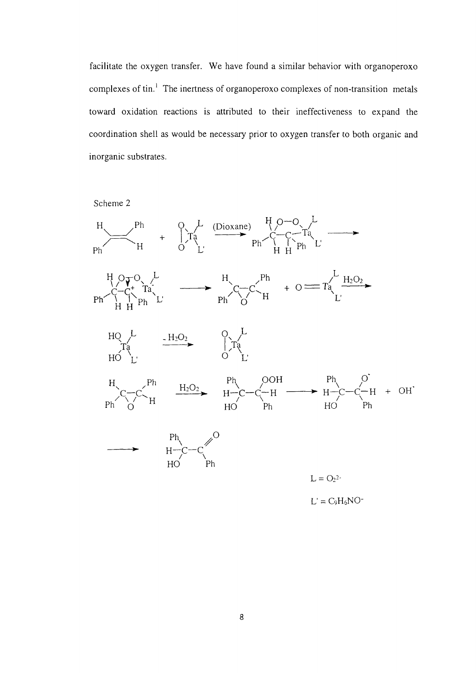facilitate the oxygen transfer. We have found a similar behavior with organoperoxo complexes of tin.<sup>1</sup> The inertness of organoperoxo complexes of non-transition metals toward oxidation reactions is attributed to their ineffectiveness to expand the coordination shell as would be necessary prior to oxygen transfer to both organic and inorganic substrates.

Scheme 2

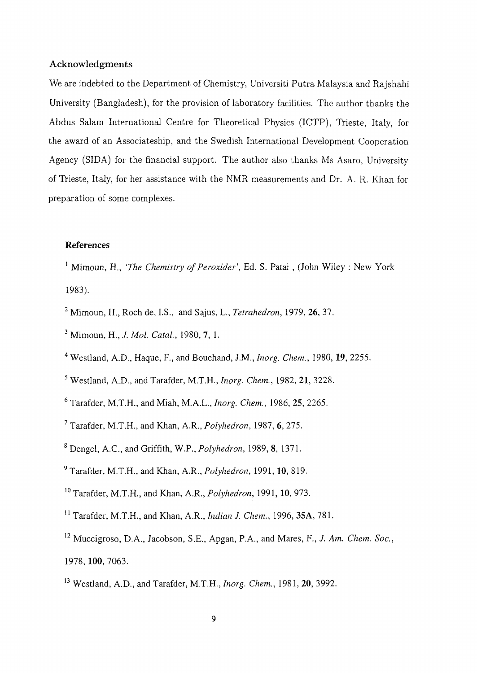#### Acknowledgments

We are indebted to the Department of Chemistry, Universiti Putra Malaysia and Rajshahi University (Bangladesh), for the provision of laboratory facilities. The author thanks the Abdus Salam International Centre for Theoretical Physics (ICTP), Trieste, Italy, for the award of an Associateship, and the Swedish International Development Cooperation Agency (SIDA) for the financial support. The author also thanks Ms Asaro, University of Trieste, Italy, for her assistance with the NMR measurements and Dr. A. R. Khan for preparation of some complexes.

#### **References**

<sup>1</sup> Mimoun, H., *'The Chemistry of Peroxides'*, Ed. S. Patai, (John Wiley: New York 1983).

- 2 Mimoun, H., Roch de, I.S., and Sajus, L., *Tetrahedron,* 1979, 26, 37.
- 3 Mimoun, H., *J. Mol. Catal,* 1980, 7, 1.
- 4 Westland, A.D., Haque, R, and Bouchand, J.M., *Inorg. Chem.,* 1980, 19, 2255.
- 5 Westland, A.D., and Tarafder, M.T.H., *Inorg. Chem.,* 1982, 21, 3228.
- 6 Tarafder, M.T.H., and Miah, M.A.L., *Inorg. Chem.,* 1986, 25, 2265.
- 7 Tarafder, M.T.H., and Khan, A.R., *Polyhedron,* 1987, 6, 275.
- 8 Dengel, A.C., and Griffith, W.P., *Polyhedron,* 1989, 8, 1371.
- 9 Tarafder, M.T.H., and Khan, A.R., *Polyhedron,* 1991, **10,** 819.
- 10 Tarafder, M.T.H., and Khan, A.R., *Polyhedron,* 1991, **10,** 973.
- 11 Tarafder, M.T.H., and Khan, A.R., *Indian J. Chem.,* 1996, **3SA,** 781.
- 12 Muccigroso, D.A., Jacobson, S.E., Apgan, P.A., and Mares, F., *J. Am. Chem. Soc,* 1978,**100,** 7063.
- 13 Westland, A.D., and Tarafder, M.T.H., *Inorg. Chem.,* 1981, 20, 3992.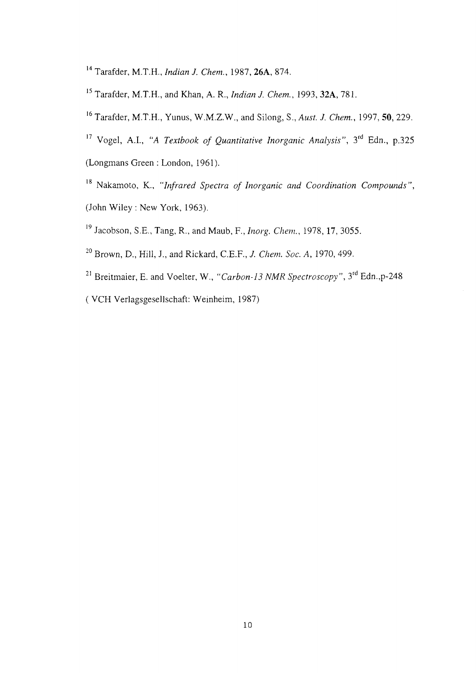- 14 Tarafder, M.T.H., *Indian J. Chem.,* 1987, **26A,** 874.
- 15 Tarafder, M.T.H., and Khan, A. R., *Indian J. Chem.,* 1993, **32A,** 781.
- 16 Tarafder, M.T.H., Yunus, W.M.Z.W., and Silong, S., *Aust. J. Chem.,* 1997, 50, 229.
- <sup>17</sup> Vogel, A.I., "A *Textbook of Quantitative Inorganic Analysis"*, 3<sup>rd</sup> Edn., p.325 (Longmans Green : London, 1961).
- <sup>18</sup> Nakamoto, K., "Infrared Spectra of Inorganic and Coordination Compounds",
- 19 Jacobson, S.E., Tang, R., and Maub , F., *Inorg. Chem.,* 1978, 17, 3055.
- 20 Brown, D., Hill, J., and Rickard, C.E.F., *J. Chem. Soc. A ,* 1970, 499.
- <sup>21</sup> Breitmaier, E. and Voelter, W., "Carbon-13 NMR Spectroscopy", 3<sup>rd</sup> Edn.,p-248 ( VCH Verlagsgesellschaft: Weinheim, 1987)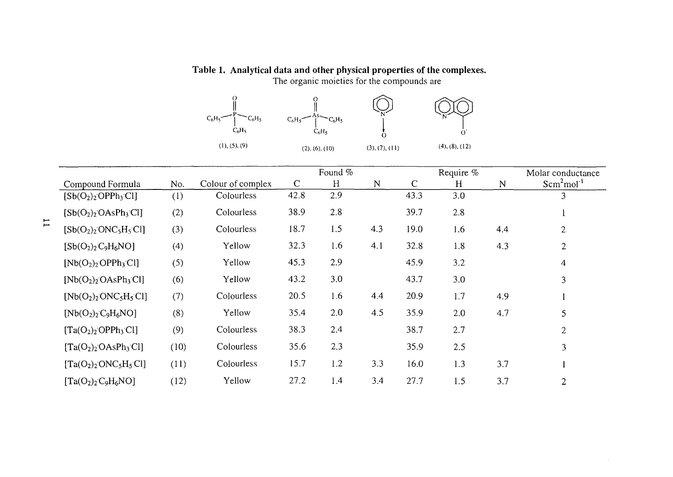## **Table 1. Analytical data and other physical properties of the complexes.**

The organic moieties for the compounds are



|                                                  |      |                   | Found %      |     |             |              | Require % |             | Molar conductance |
|--------------------------------------------------|------|-------------------|--------------|-----|-------------|--------------|-----------|-------------|-------------------|
| Compound Formula                                 | No.  | Colour of complex | $\mathsf{C}$ | H   | $\mathbb N$ | $\mathsf{C}$ | H         | $\mathbf N$ | $Scm2mol-1$       |
| $[Sb(O2)2OPPh3Cl]$                               | (1)  | Colourless        | 42.8         | 2.9 |             | 43.3         | 3.0       |             | 3                 |
| $[Sb(O2)2 OAsPh3Cl]$                             | (2)  | Colourless        | 38.9         | 2.8 |             | 39.7         | 2.8       |             |                   |
| $[Sb(O2)2 ONC5H5Cl]$                             | (3)  | Colourless        | 18.7         | 1.5 | 4.3         | 19.0         | 1.6       | 4.4         | $\overline{2}$    |
| $[Sb(O2)2C9H6NO]$                                | (4)  | Yellow            | 32.3         | 1.6 | 4.1         | 32.8         | 1.8       | 4.3         | $\overline{2}$    |
| $[Nb(O2)2OPPh3Cl]$                               | (5)  | Yellow            | 45.3         | 2.9 |             | 45.9         | 3.2       |             | $\overline{4}$    |
| $[Nb(O_2)_2 OAsPh_3Cl]$                          | (6)  | Yellow            | 43.2         | 3.0 |             | 43.7         | 3.0       |             | 3                 |
| $[Nb(O_2)_2$ ONC <sub>5</sub> H <sub>5</sub> Cl] | (7)  | Colourless        | 20.5         | 1.6 | 4.4         | 20.9         | 1.7       | 4.9         |                   |
| $[Nb(O2)2 C9H6NO]$                               | (8)  | Yellow            | 35.4         | 2.0 | 4.5         | 35.9         | 2.0       | 4.7         | 5                 |
| $[Ta(O2)2OPPh3Cl]$                               | (9)  | Colourless        | 38.3         | 2.4 |             | 38.7         | 2.7       |             | $\overline{2}$    |
| $[Ta(O2)2 OAsPh3 Cl]$                            | (10) | Colourless        | 35.6         | 2.3 |             | 35.9         | 2.5       |             | 3                 |
| $[Ta(O2)2ONC5H5Cl]$                              | (11) | Colourless        | 15.7         | 1.2 | 3.3         | 16.0         | 1.3       | 3.7         |                   |
| $[Ta(O2)2C9H6NO]$                                | (12) | Yellow            | 27.2         | 1.4 | 3.4         | 27.7         | 1.5       | 3.7         | $\overline{2}$    |

 $\sim$